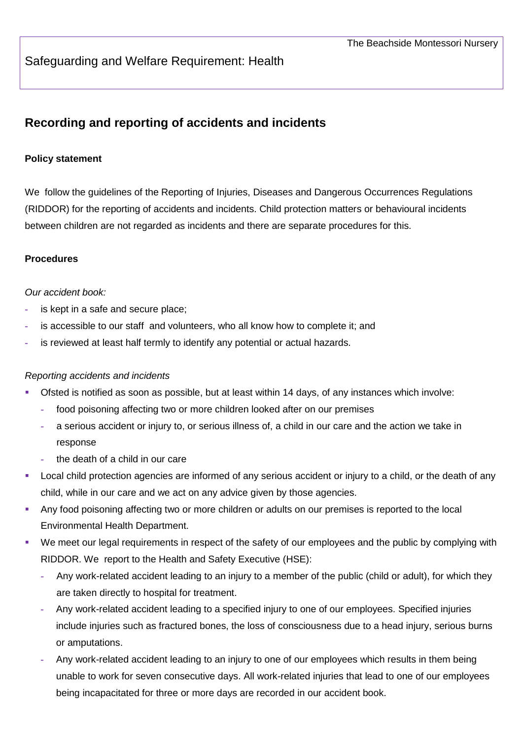## Safeguarding and Welfare Requirement: Health

# **Recording and reporting of accidents and incidents**

#### **Policy statement**

We follow the guidelines of the Reporting of Injuries, Diseases and Dangerous Occurrences Regulations (RIDDOR) for the reporting of accidents and incidents. Child protection matters or behavioural incidents between children are not regarded as incidents and there are separate procedures for this.

#### **Procedures**

#### *Our accident book:*

- **-** is kept in a safe and secure place;
- **-** is accessible to our staff and volunteers, who all know how to complete it; and
- **-** is reviewed at least half termly to identify any potential or actual hazards.

#### *Reporting accidents and incidents*

- Ofsted is notified as soon as possible, but at least within 14 days, of any instances which involve:
	- **-** food poisoning affecting two or more children looked after on our premises
	- **-** a serious accident or injury to, or serious illness of, a child in our care and the action we take in response
	- **-** the death of a child in our care
- Local child protection agencies are informed of any serious accident or injury to a child, or the death of any child, while in our care and we act on any advice given by those agencies.
- Any food poisoning affecting two or more children or adults on our premises is reported to the local Environmental Health Department.
- We meet our legal requirements in respect of the safety of our employees and the public by complying with RIDDOR. We report to the Health and Safety Executive (HSE):
	- **-** Any work-related accident leading to an injury to a member of the public (child or adult), for which they are taken directly to hospital for treatment.
	- **-** Any work-related accident leading to a specified injury to one of our employees. Specified injuries include injuries such as fractured bones, the loss of consciousness due to a head injury, serious burns or amputations.
	- **-** Any work-related accident leading to an injury to one of our employees which results in them being unable to work for seven consecutive days. All work-related injuries that lead to one of our employees being incapacitated for three or more days are recorded in our accident book.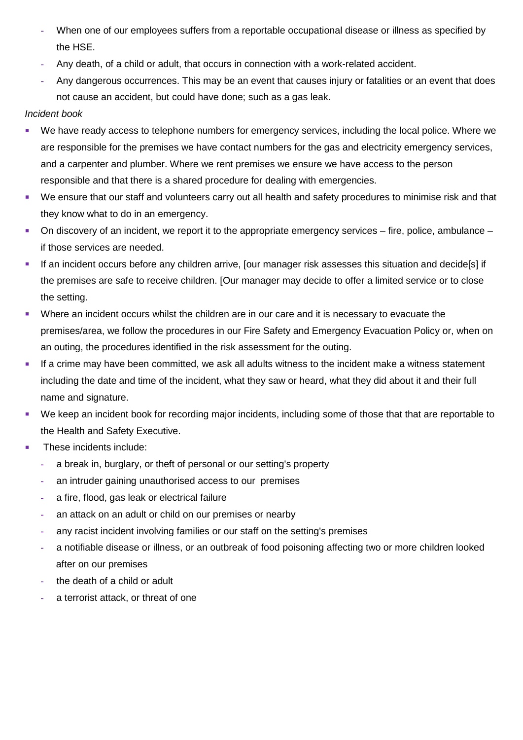- **-** When one of our employees suffers from a reportable occupational disease or illness as specified by the HSE.
- **-** Any death, of a child or adult, that occurs in connection with a work-related accident.
- **-** Any dangerous occurrences. This may be an event that causes injury or fatalities or an event that does not cause an accident, but could have done; such as a gas leak.

### *Incident book*

- We have ready access to telephone numbers for emergency services, including the local police. Where we are responsible for the premises we have contact numbers for the gas and electricity emergency services, and a carpenter and plumber. Where we rent premises we ensure we have access to the person responsible and that there is a shared procedure for dealing with emergencies.
- We ensure that our staff and volunteers carry out all health and safety procedures to minimise risk and that they know what to do in an emergency.
- On discovery of an incident, we report it to the appropriate emergency services fire, police, ambulance if those services are needed.
- If an incident occurs before any children arrive, [our manager risk assesses this situation and decide[s] if the premises are safe to receive children. [Our manager may decide to offer a limited service or to close the setting.
- Where an incident occurs whilst the children are in our care and it is necessary to evacuate the premises/area, we follow the procedures in our Fire Safety and Emergency Evacuation Policy or, when on an outing, the procedures identified in the risk assessment for the outing.
- **If a crime may have been committed, we ask all adults witness to the incident make a witness statement** including the date and time of the incident, what they saw or heard, what they did about it and their full name and signature.
- We keep an incident book for recording major incidents, including some of those that that are reportable to the Health and Safety Executive.
- **These incidents include:** 
	- **-** a break in, burglary, or theft of personal or our setting's property
	- **-** an intruder gaining unauthorised access to our premises
	- **-** a fire, flood, gas leak or electrical failure
	- **-** an attack on an adult or child on our premises or nearby
	- **-** any racist incident involving families or our staff on the setting's premises
	- **-** a notifiable disease or illness, or an outbreak of food poisoning affecting two or more children looked after on our premises
	- **-** the death of a child or adult
	- **-** a terrorist attack, or threat of one